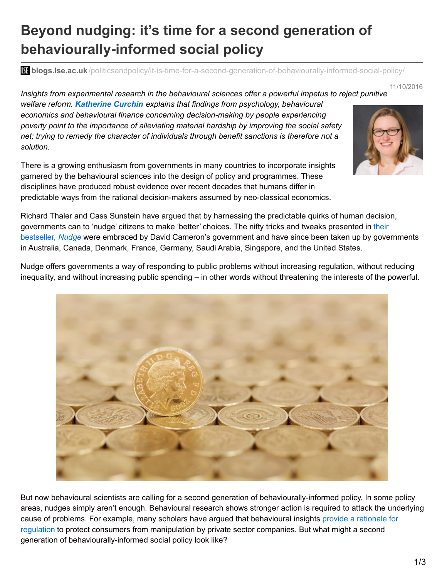## **Beyond nudging: it's time for a second generation of behaviourally-informed social policy**

**blistic blogs.lse.ac.uk**[/politicsandpolicy/it-is-time-for-a-second-generation-of-behaviourally-informed-social-policy/](http://blogs.lse.ac.uk/politicsandpolicy/it-is-time-for-a-second-generation-of-behaviourally-informed-social-policy/)

11/10/2016

*Insights from experimental research in the behavioural sciences offer a powerful impetus to reject punitive*

*welfare reform. Katherine Curchin explains that findings from psychology, behavioural economics and behavioural finance concerning decision-making by people experiencing poverty point to the importance of alleviating material hardship by improving the social safety net; trying to remedy the character of individuals through benefit sanctions is therefore not a solution.*

There is a growing enthusiasm from governments in many countries to incorporate insights garnered by the behavioural sciences into the design of policy and programmes. These disciplines have produced robust evidence over recent decades that humans differ in predictable ways from the rational decision-makers assumed by neo-classical economics.



Richard Thaler and Cass Sunstein have argued that by harnessing the predictable quirks of human decision, [governments](http://yalebooks.com/book/9780300122237/nudge) can to 'nudge' citizens to make 'better' choices. The nifty tricks and tweaks presented in their bestseller, *Nudge* were embraced by David Cameron's government and have since been taken up by governments in Australia, Canada, Denmark, France, Germany, Saudi Arabia, Singapore, and the United States.

Nudge offers governments a way of responding to public problems without increasing regulation, without reducing inequality, and without increasing public spending – in other words without threatening the interests of the powerful.



But now behavioural scientists are calling for a second generation of behaviourally-informed policy. In some policy areas, nudges simply aren't enough. Behavioural research shows stronger action is required to attack the underlying cause of problems. For example, many scholars have argued that behavioural insights provide a rationale for regulation to protect consumers from [manipulation](https://www.cambridge.org/core/journals/journal-of-social-policy/article/from-nudging-to-budging-using-behavioural-economics-to-inform-public-sector-policy/D98361CED793BE761AA22BF49299BF43) by private sector companies. But what might a second generation of behaviourally-informed social policy look like?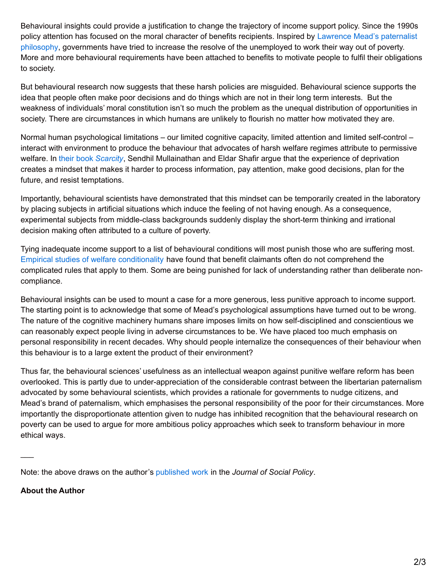Behavioural insights could provide a justification to change the trajectory of income support policy. Since the 1990s policy attention has focused on the moral character of benefits recipients. Inspired by Lawrence Mead's paternalist philosophy, [governments](https://www.brookings.edu/book/the-new-paternalism/) have tried to increase the resolve of the unemployed to work their way out of poverty. More and more behavioural requirements have been attached to benefits to motivate people to fulfil their obligations to society.

But behavioural research now suggests that these harsh policies are misguided. Behavioural science supports the idea that people often make poor decisions and do things which are not in their long term interests. But the weakness of individuals' moral constitution isn't so much the problem as the unequal distribution of opportunities in society. There are circumstances in which humans are unlikely to flourish no matter how motivated they are.

Normal human psychological limitations – our limited cognitive capacity, limited attention and limited self-control – interact with environment to produce the behaviour that advocates of harsh welfare regimes attribute to permissive welfare. In their book *[Scarcity](http://us.macmillan.com/scarcity/sendhilmullainathan)*, Sendhil Mullainathan and Eldar Shafir argue that the experience of deprivation creates a mindset that makes it harder to process information, pay attention, make good decisions, plan for the future, and resist temptations.

Importantly, behavioural scientists have demonstrated that this mindset can be temporarily created in the laboratory by placing subjects in artificial situations which induce the feeling of not having enough. As a consequence, experimental subjects from middle-class backgrounds suddenly display the short-term thinking and irrational decision making often attributed to a culture of poverty.

Tying inadequate income support to a list of behavioural conditions will most punish those who are suffering most. Empirical studies of welfare [conditionality](https://www.jrf.org.uk/report/welfare-sanctions-and-conditionality-uk) have found that benefit claimants often do not comprehend the complicated rules that apply to them. Some are being punished for lack of understanding rather than deliberate noncompliance.

Behavioural insights can be used to mount a case for a more generous, less punitive approach to income support. The starting point is to acknowledge that some of Mead's psychological assumptions have turned out to be wrong. The nature of the cognitive machinery humans share imposes limits on how self-disciplined and conscientious we can reasonably expect people living in adverse circumstances to be. We have placed too much emphasis on personal responsibility in recent decades. Why should people internalize the consequences of their behaviour when this behaviour is to a large extent the product of their environment?

Thus far, the behavioural sciences' usefulness as an intellectual weapon against punitive welfare reform has been overlooked. This is partly due to under-appreciation of the considerable contrast between the libertarian paternalism advocated by some behavioural scientists, which provides a rationale for governments to nudge citizens, and Mead's brand of paternalism, which emphasises the personal responsibility of the poor for their circumstances. More importantly the disproportionate attention given to nudge has inhibited recognition that the behavioural research on poverty can be used to argue for more ambitious policy approaches which seek to transform behaviour in more ethical ways.

Note: the above draws on the author's [published](https://www.cambridge.org/core/services/aop-cambridge-core/content/view/304A1A9AAD7C122AFD51AFF393EB3D68/S0047279416000672a.pdf/using-behavioural-insights-to-argue-for-a-stronger-social-safety-net-beyond-libertarian-paternalism.pdf) work in the *Journal of Social Policy*.

## **About the Author**

 $\overline{\phantom{a}}$